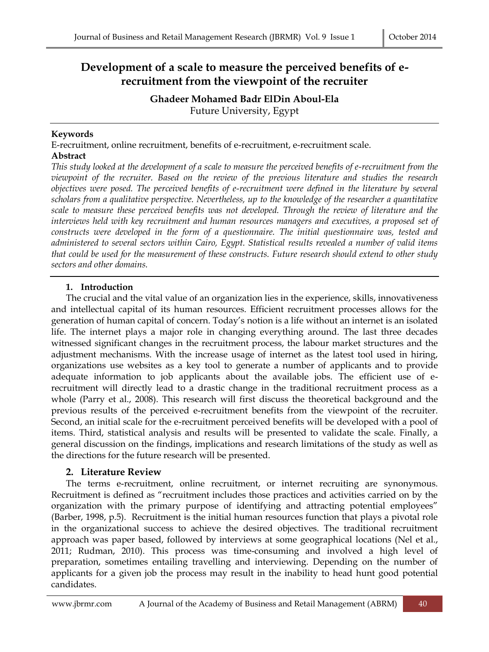# **Development of a scale to measure the perceived benefits of erecruitment from the viewpoint of the recruiter**

**Ghadeer Mohamed Badr ElDin Aboul-Ela** Future University, Egypt

## **Keywords**

E-recruitment, online recruitment, benefits of e-recruitment, e-recruitment scale. **Abstract**

*This study looked at the development of a scale to measure the perceived benefits of e-recruitment from the viewpoint of the recruiter. Based on the review of the previous literature and studies the research objectives were posed. The perceived benefits of e-recruitment were defined in the literature by several scholars from a qualitative perspective. Nevertheless, up to the knowledge of the researcher a quantitative scale to measure these perceived benefits was not developed. Through the review of literature and the interviews held with key recruitment and human resources managers and executives, a proposed set of constructs were developed in the form of a questionnaire. The initial questionnaire was, tested and administered to several sectors within Cairo, Egypt. Statistical results revealed a number of valid items that could be used for the measurement of these constructs. Future research should extend to other study sectors and other domains.*

#### **1. Introduction**

The crucial and the vital value of an organization lies in the experience, skills, innovativeness and intellectual capital of its human resources. Efficient recruitment processes allows for the generation of human capital of concern. Today's notion is a life without an internet is an isolated life. The internet plays a major role in changing everything around. The last three decades witnessed significant changes in the recruitment process, the labour market structures and the adjustment mechanisms. With the increase usage of internet as the latest tool used in hiring, organizations use websites as a key tool to generate a number of applicants and to provide adequate information to job applicants about the available jobs. The efficient use of erecruitment will directly lead to a drastic change in the traditional recruitment process as a whole (Parry et al., 2008). This research will first discuss the theoretical background and the previous results of the perceived e-recruitment benefits from the viewpoint of the recruiter. Second, an initial scale for the e-recruitment perceived benefits will be developed with a pool of items. Third, statistical analysis and results will be presented to validate the scale. Finally, a general discussion on the findings, implications and research limitations of the study as well as the directions for the future research will be presented.

#### **2. Literature Review**

The terms e-recruitment, online recruitment, or internet recruiting are synonymous. Recruitment is defined as "recruitment includes those practices and activities carried on by the organization with the primary purpose of identifying and attracting potential employees" (Barber, 1998, p.5). Recruitment is the initial human resources function that plays a pivotal role in the organizational success to achieve the desired objectives. The traditional recruitment approach was paper based, followed by interviews at some geographical locations (Nel et al., 2011; Rudman, 2010). This process was time-consuming and involved a high level of preparation, sometimes entailing travelling and interviewing. Depending on the number of applicants for a given job the process may result in the inability to head hunt good potential candidates.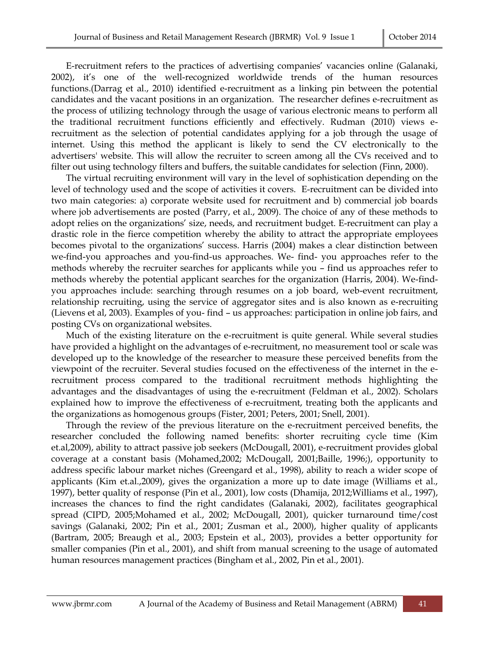E-recruitment refers to the practices of advertising companies' vacancies online (Galanaki, 2002), it's one of the well-recognized worldwide trends of the human resources functions.(Darrag et al., 2010) identified e-recruitment as a linking pin between the potential candidates and the vacant positions in an organization. The researcher defines e-recruitment as the process of utilizing technology through the usage of various electronic means to perform all the traditional recruitment functions efficiently and effectively. Rudman (2010) views erecruitment as the selection of potential candidates applying for a job through the usage of internet. Using this method the applicant is likely to send the CV electronically to the advertisers' website. This will allow the recruiter to screen among all the CVs received and to filter out using technology filters and buffers, the suitable candidates for selection (Finn, 2000).

The virtual recruiting environment will vary in the level of sophistication depending on the level of technology used and the scope of activities it covers. E-recruitment can be divided into two main categories: a) corporate website used for recruitment and b) commercial job boards where job advertisements are posted (Parry, et al., 2009). The choice of any of these methods to adopt relies on the organizations' size, needs, and recruitment budget. E-recruitment can play a drastic role in the fierce competition whereby the ability to attract the appropriate employees becomes pivotal to the organizations' success. Harris (2004) makes a clear distinction between we-find-you approaches and you-find-us approaches. We- find- you approaches refer to the methods whereby the recruiter searches for applicants while you – find us approaches refer to methods whereby the potential applicant searches for the organization (Harris, 2004). We-findyou approaches include: searching through resumes on a job board, web-event recruitment, relationship recruiting, using the service of aggregator sites and is also known as e-recruiting (Lievens et al, 2003). Examples of you- find – us approaches: participation in online job fairs, and posting CVs on organizational websites.

Much of the existing literature on the e-recruitment is quite general. While several studies have provided a highlight on the advantages of e-recruitment, no measurement tool or scale was developed up to the knowledge of the researcher to measure these perceived benefits from the viewpoint of the recruiter. Several studies focused on the effectiveness of the internet in the erecruitment process compared to the traditional recruitment methods highlighting the advantages and the disadvantages of using the e-recruitment (Feldman et al., 2002). Scholars explained how to improve the effectiveness of e-recruitment, treating both the applicants and the organizations as homogenous groups (Fister, 2001; Peters, 2001; Snell, 2001).

Through the review of the previous literature on the e-recruitment perceived benefits, the researcher concluded the following named benefits: shorter recruiting cycle time (Kim et.al,2009), ability to attract passive job seekers (McDougall, 2001), e-recruitment provides global coverage at a constant basis (Mohamed,2002; McDougall, 2001;Baille, 1996;), opportunity to address specific labour market niches (Greengard et al., 1998), ability to reach a wider scope of applicants (Kim et.al.,2009), gives the organization a more up to date image (Williams et al., 1997), better quality of response (Pin et al., 2001), low costs (Dhamija, 2012;Williams et al., 1997), increases the chances to find the right candidates (Galanaki, 2002), facilitates geographical spread (CIPD, 2005;Mohamed et al., 2002; McDougall, 2001), quicker turnaround time/cost savings (Galanaki, 2002; Pin et al., 2001; Zusman et al., 2000), higher quality of applicants (Bartram, 2005; Breaugh et al., 2003; Epstein et al., 2003), provides a better opportunity for smaller companies (Pin et al., 2001), and shift from manual screening to the usage of automated human resources management practices (Bingham et al., 2002, Pin et al., 2001).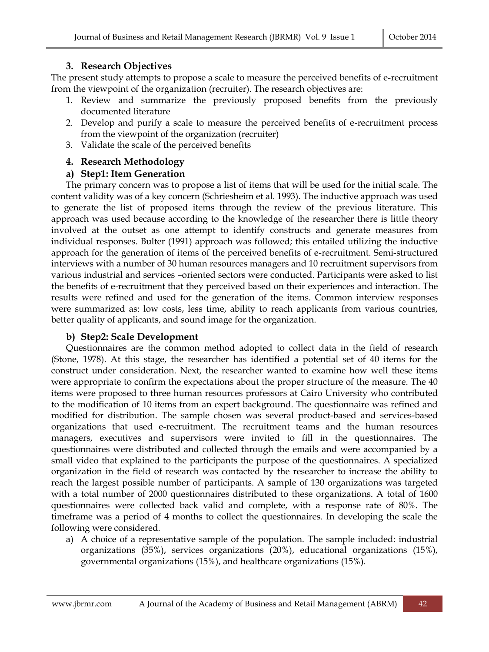## **3. Research Objectives**

The present study attempts to propose a scale to measure the perceived benefits of e-recruitment from the viewpoint of the organization (recruiter). The research objectives are:

- 1. Review and summarize the previously proposed benefits from the previously documented literature
- 2. Develop and purify a scale to measure the perceived benefits of e-recruitment process from the viewpoint of the organization (recruiter)
- 3. Validate the scale of the perceived benefits

# **4. Research Methodology**

# **a) Step1: Item Generation**

The primary concern was to propose a list of items that will be used for the initial scale. The content validity was of a key concern (Schriesheim et al. 1993). The inductive approach was used to generate the list of proposed items through the review of the previous literature. This approach was used because according to the knowledge of the researcher there is little theory involved at the outset as one attempt to identify constructs and generate measures from individual responses. Bulter (1991) approach was followed; this entailed utilizing the inductive approach for the generation of items of the perceived benefits of e-recruitment. Semi-structured interviews with a number of 30 human resources managers and 10 recruitment supervisors from various industrial and services –oriented sectors were conducted. Participants were asked to list the benefits of e-recruitment that they perceived based on their experiences and interaction. The results were refined and used for the generation of the items. Common interview responses were summarized as: low costs, less time, ability to reach applicants from various countries, better quality of applicants, and sound image for the organization.

#### **b) Step2: Scale Development**

Questionnaires are the common method adopted to collect data in the field of research (Stone, 1978). At this stage, the researcher has identified a potential set of 40 items for the construct under consideration. Next, the researcher wanted to examine how well these items were appropriate to confirm the expectations about the proper structure of the measure. The 40 items were proposed to three human resources professors at Cairo University who contributed to the modification of 10 items from an expert background. The questionnaire was refined and modified for distribution. The sample chosen was several product-based and services-based organizations that used e-recruitment. The recruitment teams and the human resources managers, executives and supervisors were invited to fill in the questionnaires. The questionnaires were distributed and collected through the emails and were accompanied by a small video that explained to the participants the purpose of the questionnaires. A specialized organization in the field of research was contacted by the researcher to increase the ability to reach the largest possible number of participants. A sample of 130 organizations was targeted with a total number of 2000 questionnaires distributed to these organizations. A total of 1600 questionnaires were collected back valid and complete, with a response rate of 80%. The timeframe was a period of 4 months to collect the questionnaires. In developing the scale the following were considered.

a) A choice of a representative sample of the population. The sample included: industrial organizations (35%), services organizations (20%), educational organizations (15%), governmental organizations (15%), and healthcare organizations (15%).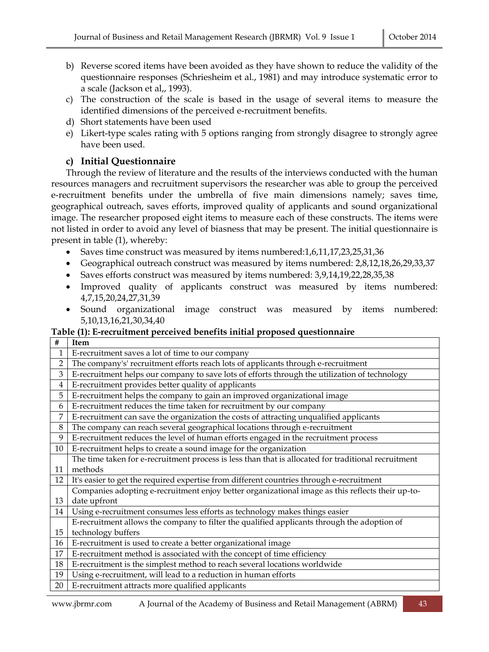- b) Reverse scored items have been avoided as they have shown to reduce the validity of the questionnaire responses (Schriesheim et al., 1981) and may introduce systematic error to a scale (Jackson et al,, 1993).
- c) The construction of the scale is based in the usage of several items to measure the identified dimensions of the perceived e-recruitment benefits.
- d) Short statements have been used
- e) Likert-type scales rating with 5 options ranging from strongly disagree to strongly agree have been used.

# **c) Initial Questionnaire**

Through the review of literature and the results of the interviews conducted with the human resources managers and recruitment supervisors the researcher was able to group the perceived e-recruitment benefits under the umbrella of five main dimensions namely; saves time, geographical outreach, saves efforts, improved quality of applicants and sound organizational image. The researcher proposed eight items to measure each of these constructs. The items were not listed in order to avoid any level of biasness that may be present. The initial questionnaire is present in table (1), whereby:

- Saves time construct was measured by items numbered:1,6,11,17,23,25,31,36
- Geographical outreach construct was measured by items numbered: 2,8,12,18,26,29,33,37
- Saves efforts construct was measured by items numbered: 3,9,14,19,22,28,35,38
- Improved quality of applicants construct was measured by items numbered: 4,7,15,20,24,27,31,39
- Sound organizational image construct was measured by items numbered: 5,10,13,16,21,30,34,40

#### **Table (1): E-recruitment perceived benefits initial proposed questionnaire**

| #              | <b>Item</b>                                                                                         |
|----------------|-----------------------------------------------------------------------------------------------------|
| 1              | E-recruitment saves a lot of time to our company                                                    |
| $\overline{2}$ | The company's' recruitment efforts reach lots of applicants through e-recruitment                   |
| 3              | E-recruitment helps our company to save lots of efforts through the utilization of technology       |
| 4              | E-recruitment provides better quality of applicants                                                 |
| 5              | E-recruitment helps the company to gain an improved organizational image                            |
| 6              | E-recruitment reduces the time taken for recruitment by our company                                 |
| 7              | E-recruitment can save the organization the costs of attracting unqualified applicants              |
| 8              | The company can reach several geographical locations through e-recruitment                          |
| 9              | E-recruitment reduces the level of human efforts engaged in the recruitment process                 |
| 10             | E-recruitment helps to create a sound image for the organization                                    |
|                | The time taken for e-recruitment process is less than that is allocated for traditional recruitment |
| 11             | methods                                                                                             |
| 12             | It's easier to get the required expertise from different countries through e-recruitment            |
|                | Companies adopting e-recruitment enjoy better organizational image as this reflects their up-to-    |
| 13             | date upfront                                                                                        |
| 14             | Using e-recruitment consumes less efforts as technology makes things easier                         |
|                | E-recruitment allows the company to filter the qualified applicants through the adoption of         |
| 15             | technology buffers                                                                                  |
| 16             | E-recruitment is used to create a better organizational image                                       |
| 17             | E-recruitment method is associated with the concept of time efficiency                              |
| 18             | E-recruitment is the simplest method to reach several locations worldwide                           |
| 19             | Using e-recruitment, will lead to a reduction in human efforts                                      |
| 20             | E-recruitment attracts more qualified applicants                                                    |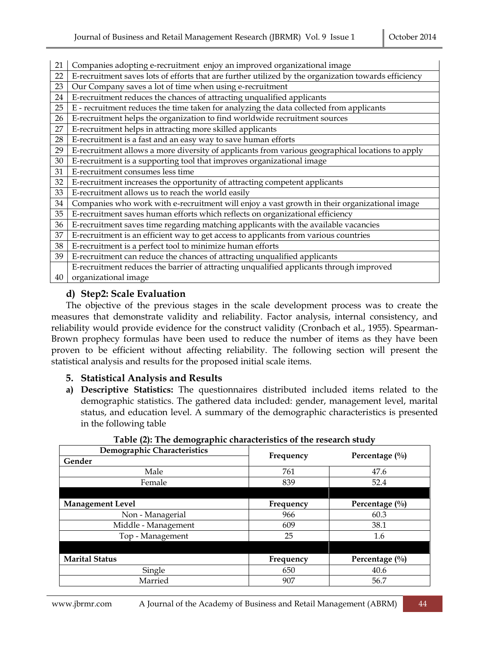| 21 | Companies adopting e-recruitment enjoy an improved organizational image                              |
|----|------------------------------------------------------------------------------------------------------|
| 22 | E-recruitment saves lots of efforts that are further utilized by the organization towards efficiency |
| 23 | Our Company saves a lot of time when using e-recruitment                                             |
| 24 | E-recruitment reduces the chances of attracting unqualified applicants                               |
| 25 | E - recruitment reduces the time taken for analyzing the data collected from applicants              |
| 26 | E-recruitment helps the organization to find worldwide recruitment sources                           |
| 27 | E-recruitment helps in attracting more skilled applicants                                            |
| 28 | E-recruitment is a fast and an easy way to save human efforts                                        |
| 29 | E-recruitment allows a more diversity of applicants from various geographical locations to apply     |
| 30 | E-recruitment is a supporting tool that improves organizational image                                |
| 31 | E-recruitment consumes less time                                                                     |
| 32 | E-recruitment increases the opportunity of attracting competent applicants                           |
| 33 | E-recruitment allows us to reach the world easily                                                    |
| 34 | Companies who work with e-recruitment will enjoy a vast growth in their organizational image         |
| 35 | E-recruitment saves human efforts which reflects on organizational efficiency                        |
| 36 | E-recruitment saves time regarding matching applicants with the available vacancies                  |
| 37 | E-recruitment is an efficient way to get access to applicants from various countries                 |
| 38 | E-recruitment is a perfect tool to minimize human efforts                                            |
| 39 | E-recruitment can reduce the chances of attracting unqualified applicants                            |
|    | E-recruitment reduces the barrier of attracting unqualified applicants through improved              |
| 40 | organizational image                                                                                 |

#### **d) Step2: Scale Evaluation**

The objective of the previous stages in the scale development process was to create the measures that demonstrate validity and reliability. Factor analysis, internal consistency, and reliability would provide evidence for the construct validity (Cronbach et al., 1955). Spearman-Brown prophecy formulas have been used to reduce the number of items as they have been proven to be efficient without affecting reliability. The following section will present the statistical analysis and results for the proposed initial scale items.

#### **5. Statistical Analysis and Results**

**a) Descriptive Statistics:** The questionnaires distributed included items related to the demographic statistics. The gathered data included: gender, management level, marital status, and education level. A summary of the demographic characteristics is presented in the following table

| Demographic Characteristics |           | Percentage $(\%)$ |  |  |
|-----------------------------|-----------|-------------------|--|--|
| Gender                      | Frequency |                   |  |  |
| Male                        | 761       | 47.6              |  |  |
| Female                      | 839       | 52.4              |  |  |
|                             |           |                   |  |  |
| <b>Management Level</b>     | Frequency | Percentage $(\%)$ |  |  |
| Non - Managerial            | 966       | 60.3              |  |  |
| Middle - Management         | 609       | 38.1              |  |  |
| Top - Management            | 25        | 1.6               |  |  |
|                             |           |                   |  |  |
| <b>Marital Status</b>       | Frequency | Percentage $(\%)$ |  |  |
| Single                      | 650       | 40.6              |  |  |
| Married                     | 907       | 56.7              |  |  |

**Table (2): The demographic characteristics of the research study**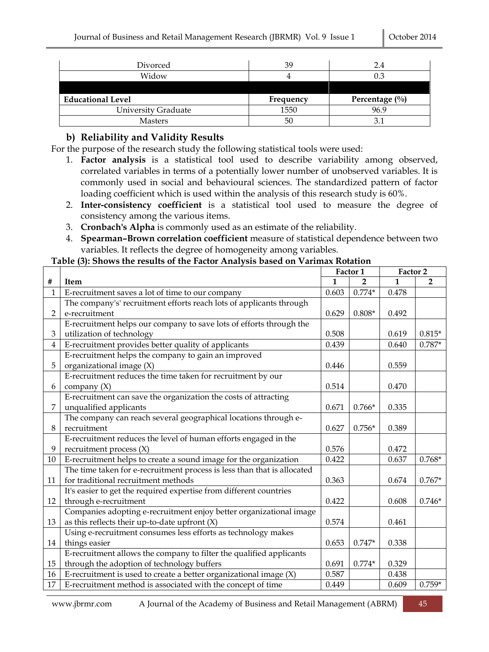| Divorced                 | 39        | 2.4               |
|--------------------------|-----------|-------------------|
| Widow                    |           |                   |
|                          |           |                   |
|                          |           |                   |
| <b>Educational Level</b> | Frequency | Percentage $(\%)$ |
| University Graduate      | 1550      | 96.9              |

#### **b) Reliability and Validity Results**

For the purpose of the research study the following statistical tools were used:

- 1. **Factor analysis** is a statistical tool used to describe variability among observed, correlated variables in terms of a potentially lower number of unobserved variables. It is commonly used in social and behavioural sciences. The standardized pattern of factor loading coefficient which is used within the analysis of this research study is 60%.
- 2. **Inter-consistency coefficient** is a statistical tool used to measure the degree of consistency among the various items.
- 3. **Cronbach's Alpha** is commonly used as an estimate of the reliability.
- 4. **Spearman–Brown correlation coefficient** measure of statistical dependence between two variables. It reflects the degree of homogeneity among variables.

#### **Table (3): Shows the results of the Factor Analysis based on Varimax Rotation**

|                |                                                                         | Factor 1 |          | Factor 2 |          |
|----------------|-------------------------------------------------------------------------|----------|----------|----------|----------|
| #              | Item                                                                    | 1        | 2        | 1        | 2        |
| 1              | E-recruitment saves a lot of time to our company                        | 0.603    | $0.774*$ | 0.478    |          |
|                | The company's' recruitment efforts reach lots of applicants through     |          |          |          |          |
| $\overline{2}$ | e-recruitment                                                           | 0.629    | $0.808*$ | 0.492    |          |
|                | E-recruitment helps our company to save lots of efforts through the     |          |          |          |          |
| 3              | utilization of technology                                               | 0.508    |          | 0.619    | $0.815*$ |
| $\overline{4}$ | E-recruitment provides better quality of applicants                     | 0.439    |          | 0.640    | $0.787*$ |
|                | E-recruitment helps the company to gain an improved                     |          |          |          |          |
| 5              | organizational image (X)                                                | 0.446    |          | 0.559    |          |
|                | E-recruitment reduces the time taken for recruitment by our             |          |          |          |          |
| 6              | company $(X)$                                                           | 0.514    |          | 0.470    |          |
|                | E-recruitment can save the organization the costs of attracting         |          |          |          |          |
| 7              | unqualified applicants                                                  | 0.671    | $0.766*$ | 0.335    |          |
|                | The company can reach several geographical locations through e-         |          |          |          |          |
| 8              | recruitment                                                             | 0.627    | $0.756*$ | 0.389    |          |
|                | E-recruitment reduces the level of human efforts engaged in the         |          |          |          |          |
| 9              | recruitment process $(X)$                                               | 0.576    |          | 0.472    |          |
| 10             | E-recruitment helps to create a sound image for the organization        | 0.422    |          | 0.637    | $0.768*$ |
|                | The time taken for e-recruitment process is less than that is allocated |          |          |          |          |
| 11             | for traditional recruitment methods                                     | 0.363    |          | 0.674    | $0.767*$ |
|                | It's easier to get the required expertise from different countries      |          |          |          |          |
| 12             | through e-recruitment                                                   | 0.422    |          | 0.608    | $0.746*$ |
|                | Companies adopting e-recruitment enjoy better organizational image      |          |          |          |          |
| 13             | as this reflects their up-to-date upfront $(X)$                         | 0.574    |          | 0.461    |          |
|                | Using e-recruitment consumes less efforts as technology makes           |          |          |          |          |
| 14             | things easier                                                           | 0.653    | $0.747*$ | 0.338    |          |
|                | E-recruitment allows the company to filter the qualified applicants     |          |          |          |          |
| 15             | through the adoption of technology buffers                              | 0.691    | $0.774*$ | 0.329    |          |
| 16             | E-recruitment is used to create a better organizational image $(X)$     | 0.587    |          | 0.438    |          |
| 17             | E-recruitment method is associated with the concept of time             | 0.449    |          | 0.609    | $0.759*$ |

www.jbrmr.com A Journal of the Academy of Business and Retail Management (ABRM) 45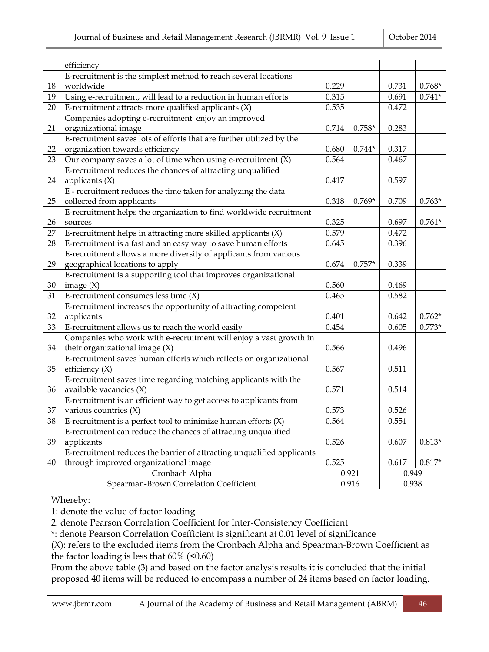|                | efficiency                                                             |       |          |       |          |
|----------------|------------------------------------------------------------------------|-------|----------|-------|----------|
|                | E-recruitment is the simplest method to reach several locations        |       |          |       |          |
| 18             | worldwide                                                              | 0.229 |          | 0.731 | $0.768*$ |
| 19             | Using e-recruitment, will lead to a reduction in human efforts         | 0.315 |          | 0.691 | $0.741*$ |
| 20             | E-recruitment attracts more qualified applicants $(X)$                 | 0.535 |          | 0.472 |          |
|                | Companies adopting e-recruitment enjoy an improved                     |       |          |       |          |
| 21             | organizational image                                                   | 0.714 | $0.758*$ | 0.283 |          |
|                | E-recruitment saves lots of efforts that are further utilized by the   |       |          |       |          |
| 22             | organization towards efficiency                                        | 0.680 | $0.744*$ | 0.317 |          |
| 23             | Our company saves a lot of time when using e-recruitment $(X)$         | 0.564 |          | 0.467 |          |
|                | E-recruitment reduces the chances of attracting unqualified            |       |          |       |          |
| 24             | applicants $(X)$                                                       | 0.417 |          | 0.597 |          |
|                | E - recruitment reduces the time taken for analyzing the data          |       |          |       |          |
| 25             | collected from applicants                                              | 0.318 | $0.769*$ | 0.709 | $0.763*$ |
|                | E-recruitment helps the organization to find worldwide recruitment     |       |          |       |          |
| 26             | sources                                                                | 0.325 |          | 0.697 | $0.761*$ |
| 27             | E-recruitment helps in attracting more skilled applicants $(X)$        | 0.579 |          | 0.472 |          |
| 28             | E-recruitment is a fast and an easy way to save human efforts          | 0.645 |          | 0.396 |          |
|                | E-recruitment allows a more diversity of applicants from various       |       |          |       |          |
| 29             | geographical locations to apply                                        | 0.674 | $0.757*$ | 0.339 |          |
|                | E-recruitment is a supporting tool that improves organizational        |       |          |       |          |
| 30             | image $(X)$                                                            | 0.560 |          | 0.469 |          |
| 31             | E-recruitment consumes less time $(X)$                                 | 0.465 |          | 0.582 |          |
|                | E-recruitment increases the opportunity of attracting competent        |       |          |       |          |
| 32             | applicants                                                             | 0.401 |          | 0.642 | $0.762*$ |
| 33             | E-recruitment allows us to reach the world easily                      | 0.454 |          | 0.605 | $0.773*$ |
|                | Companies who work with e-recruitment will enjoy a vast growth in      |       |          |       |          |
| 34             | their organizational image $(X)$                                       | 0.566 |          | 0.496 |          |
|                | E-recruitment saves human efforts which reflects on organizational     |       |          |       |          |
| 35             | efficiency $(X)$                                                       | 0.567 |          | 0.511 |          |
|                | E-recruitment saves time regarding matching applicants with the        |       |          |       |          |
| 36             | available vacancies $(X)$                                              | 0.571 |          | 0.514 |          |
|                | E-recruitment is an efficient way to get access to applicants from     |       |          |       |          |
| 37             | various countries $(X)$                                                | 0.573 |          | 0.526 |          |
| 38             | E-recruitment is a perfect tool to minimize human efforts $(X)$        | 0.564 |          | 0.551 |          |
|                | E-recruitment can reduce the chances of attracting unqualified         |       |          |       |          |
| 39             | applicants                                                             | 0.526 |          | 0.607 | $0.813*$ |
|                | E-recruitment reduces the barrier of attracting unqualified applicants |       |          |       |          |
| 40             | through improved organizational image                                  | 0.525 |          | 0.617 | $0.817*$ |
| Cronbach Alpha |                                                                        |       | 0.921    | 0.949 |          |
|                | Spearman-Brown Correlation Coefficient                                 |       | 0.916    | 0.938 |          |

Whereby:

1: denote the value of factor loading

2: denote Pearson Correlation Coefficient for Inter-Consistency Coefficient

\*: denote Pearson Correlation Coefficient is significant at 0.01 level of significance

(X): refers to the excluded items from the Cronbach Alpha and Spearman-Brown Coefficient as the factor loading is less that  $60\%$  (<0.60)

From the above table (3) and based on the factor analysis results it is concluded that the initial proposed 40 items will be reduced to encompass a number of 24 items based on factor loading.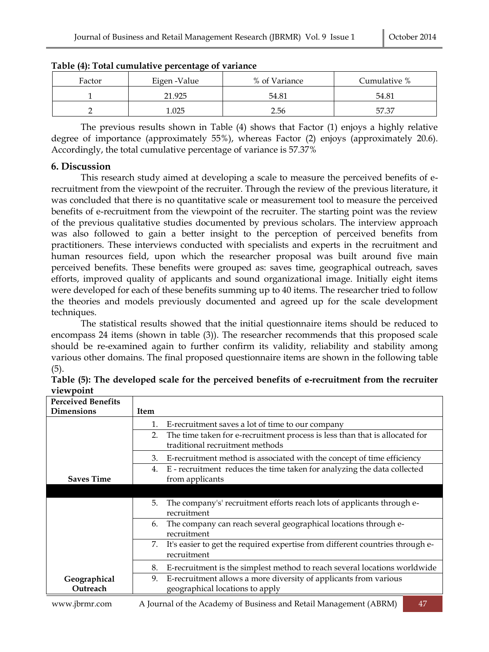| Factor | Eigen -Value | % of Variance | Cumulative % |
|--------|--------------|---------------|--------------|
|        | 21.925       | 54.81         | 54.81        |
|        | .025         | 2.56          | 57.37        |

**Table (4): Total cumulative percentage of variance**

The previous results shown in Table (4) shows that Factor (1) enjoys a highly relative degree of importance (approximately 55%), whereas Factor (2) enjoys (approximately 20.6). Accordingly, the total cumulative percentage of variance is 57.37%

#### **6. Discussion**

This research study aimed at developing a scale to measure the perceived benefits of erecruitment from the viewpoint of the recruiter. Through the review of the previous literature, it was concluded that there is no quantitative scale or measurement tool to measure the perceived benefits of e-recruitment from the viewpoint of the recruiter. The starting point was the review of the previous qualitative studies documented by previous scholars. The interview approach was also followed to gain a better insight to the perception of perceived benefits from practitioners. These interviews conducted with specialists and experts in the recruitment and human resources field, upon which the researcher proposal was built around five main perceived benefits. These benefits were grouped as: saves time, geographical outreach, saves efforts, improved quality of applicants and sound organizational image. Initially eight items were developed for each of these benefits summing up to 40 items. The researcher tried to follow the theories and models previously documented and agreed up for the scale development techniques.

The statistical results showed that the initial questionnaire items should be reduced to encompass 24 items (shown in table (3)). The researcher recommends that this proposed scale should be re-examined again to further confirm its validity, reliability and stability among various other domains. The final proposed questionnaire items are shown in the following table (5).

| <b>Perceived Benefits</b> |                                                                                                                                                                                                                                                                                                                                                                                                         |
|---------------------------|---------------------------------------------------------------------------------------------------------------------------------------------------------------------------------------------------------------------------------------------------------------------------------------------------------------------------------------------------------------------------------------------------------|
| <b>Dimensions</b>         | Item                                                                                                                                                                                                                                                                                                                                                                                                    |
|                           | E-recruitment saves a lot of time to our company<br>1.                                                                                                                                                                                                                                                                                                                                                  |
|                           | The time taken for e-recruitment process is less than that is allocated for<br>2.<br>traditional recruitment methods                                                                                                                                                                                                                                                                                    |
|                           | E-recruitment method is associated with the concept of time efficiency<br>3.                                                                                                                                                                                                                                                                                                                            |
| <b>Saves Time</b>         | E - recruitment reduces the time taken for analyzing the data collected<br>4.<br>from applicants                                                                                                                                                                                                                                                                                                        |
|                           |                                                                                                                                                                                                                                                                                                                                                                                                         |
|                           | The company's' recruitment efforts reach lots of applicants through e-<br>5.<br>recruitment                                                                                                                                                                                                                                                                                                             |
|                           | The company can reach several geographical locations through e-<br>6.<br>recruitment                                                                                                                                                                                                                                                                                                                    |
|                           | It's easier to get the required expertise from different countries through e-<br>7.<br>recruitment                                                                                                                                                                                                                                                                                                      |
|                           | E-recruitment is the simplest method to reach several locations worldwide<br>8.                                                                                                                                                                                                                                                                                                                         |
| Geographical<br>Outreach  | E-recruitment allows a more diversity of applicants from various<br>9.<br>geographical locations to apply                                                                                                                                                                                                                                                                                               |
|                           | (15.2)<br>$\lambda$ T $\lambda$ 1 $\lambda$ 1 $\lambda$ 1 $\lambda$ 1 $\lambda$ 1 $\lambda$ 1 $\lambda$ 1 $\lambda$ 1 $\lambda$ 1 $\lambda$ 1 $\lambda$ 1 $\lambda$ 1 $\lambda$ 1 $\lambda$ 1 $\lambda$ 1 $\lambda$ 1 $\lambda$ 1 $\lambda$ 1 $\lambda$ 1 $\lambda$ 1 $\lambda$ 1 $\lambda$ 1 $\lambda$ 1 $\lambda$ 1 $\lambda$ 1 $\lambda$ 1 $\lambda$ 1 $\lambda$ 1 $\lambda$ 1 $\lambda$ 1 $\lambda$ |

**Table (5): The developed scale for the perceived benefits of e-recruitment from the recruiter viewpoint**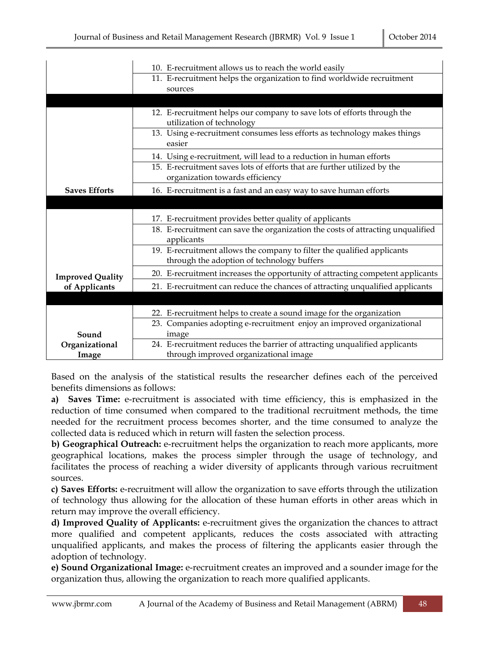|                         | 10. E-recruitment allows us to reach the world easily                                                                 |
|-------------------------|-----------------------------------------------------------------------------------------------------------------------|
|                         | 11. E-recruitment helps the organization to find worldwide recruitment                                                |
|                         | sources                                                                                                               |
|                         |                                                                                                                       |
|                         | 12. E-recruitment helps our company to save lots of efforts through the<br>utilization of technology                  |
|                         | 13. Using e-recruitment consumes less efforts as technology makes things<br>easier                                    |
|                         | 14. Using e-recruitment, will lead to a reduction in human efforts                                                    |
|                         | 15. E-recruitment saves lots of efforts that are further utilized by the<br>organization towards efficiency           |
| <b>Saves Efforts</b>    | 16. E-recruitment is a fast and an easy way to save human efforts                                                     |
|                         |                                                                                                                       |
|                         | 17. E-recruitment provides better quality of applicants                                                               |
|                         | 18. E-recruitment can save the organization the costs of attracting unqualified<br>applicants                         |
|                         | 19. E-recruitment allows the company to filter the qualified applicants<br>through the adoption of technology buffers |
| <b>Improved Quality</b> | 20. E-recruitment increases the opportunity of attracting competent applicants                                        |
| of Applicants           | 21. E-recruitment can reduce the chances of attracting unqualified applicants                                         |
|                         |                                                                                                                       |
|                         | 22. E-recruitment helps to create a sound image for the organization                                                  |
|                         | 23. Companies adopting e-recruitment enjoy an improved organizational                                                 |
| Sound                   | image                                                                                                                 |
| Organizational          | 24. E-recruitment reduces the barrier of attracting unqualified applicants                                            |
| Image                   | through improved organizational image                                                                                 |

Based on the analysis of the statistical results the researcher defines each of the perceived benefits dimensions as follows:

**a) Saves Time:** e-recruitment is associated with time efficiency, this is emphasized in the reduction of time consumed when compared to the traditional recruitment methods, the time needed for the recruitment process becomes shorter, and the time consumed to analyze the collected data is reduced which in return will fasten the selection process.

**b) Geographical Outreach:** e-recruitment helps the organization to reach more applicants, more geographical locations, makes the process simpler through the usage of technology, and facilitates the process of reaching a wider diversity of applicants through various recruitment sources.

**c) Saves Efforts:** e-recruitment will allow the organization to save efforts through the utilization of technology thus allowing for the allocation of these human efforts in other areas which in return may improve the overall efficiency.

**d) Improved Quality of Applicants:** e-recruitment gives the organization the chances to attract more qualified and competent applicants, reduces the costs associated with attracting unqualified applicants, and makes the process of filtering the applicants easier through the adoption of technology.

**e) Sound Organizational Image:** e-recruitment creates an improved and a sounder image for the organization thus, allowing the organization to reach more qualified applicants.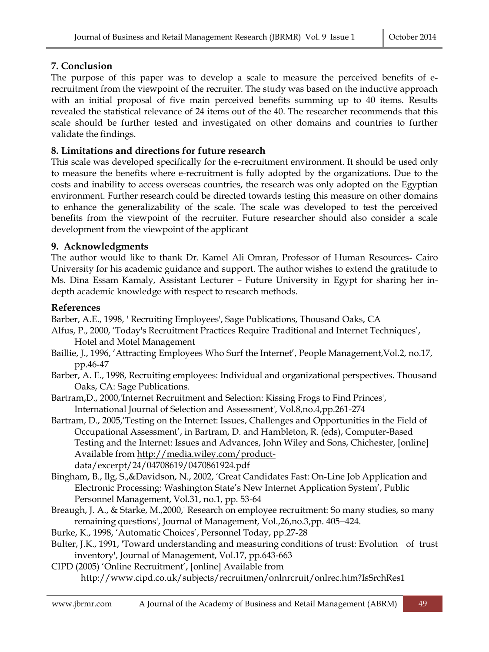# **7. Conclusion**

The purpose of this paper was to develop a scale to measure the perceived benefits of erecruitment from the viewpoint of the recruiter. The study was based on the inductive approach with an initial proposal of five main perceived benefits summing up to 40 items. Results revealed the statistical relevance of 24 items out of the 40. The researcher recommends that this scale should be further tested and investigated on other domains and countries to further validate the findings.

## **8. Limitations and directions for future research**

This scale was developed specifically for the e-recruitment environment. It should be used only to measure the benefits where e-recruitment is fully adopted by the organizations. Due to the costs and inability to access overseas countries, the research was only adopted on the Egyptian environment. Further research could be directed towards testing this measure on other domains to enhance the generalizability of the scale. The scale was developed to test the perceived benefits from the viewpoint of the recruiter. Future researcher should also consider a scale development from the viewpoint of the applicant

#### **9. Acknowledgments**

The author would like to thank Dr. Kamel Ali Omran, Professor of Human Resources- Cairo University for his academic guidance and support. The author wishes to extend the gratitude to Ms. Dina Essam Kamaly, Assistant Lecturer – Future University in Egypt for sharing her indepth academic knowledge with respect to research methods.

#### **References**

Barber, A.E., 1998, ' Recruiting Employees', Sage Publications, Thousand Oaks, CA

- Alfus, P., 2000, 'Today's Recruitment Practices Require Traditional and Internet Techniques', Hotel and Motel Management
- Baillie, J., 1996, 'Attracting Employees Who Surf the Internet', People Management, Vol.2, no.17, pp.46-47
- Barber, A. E., 1998, Recruiting employees: Individual and organizational perspectives. Thousand Oaks, CA: Sage Publications.
- Bartram,D., 2000,'Internet Recruitment and Selection: Kissing Frogs to Find Princes', International Journal of Selection and Assessment', Vol.8,no.4,pp.261-274
- Bartram, D., 2005,'Testing on the Internet: Issues, Challenges and Opportunities in the Field of Occupational Assessment', in Bartram, D. and Hambleton, R. (eds), Computer-Based Testing and the Internet: Issues and Advances, John Wiley and Sons, Chichester, [online] Available fro[m http://media.wiley.com/product](http://media.wiley.com/product-)data/excerpt/24/04708619/0470861924.pdf
- Bingham, B., Ilg, S.,&Davidson, N., 2002, 'Great Candidates Fast: On-Line Job Application and Electronic Processing: Washington State's New Internet Application System', Public Personnel Management, Vol.31, no.1, pp. 53-64
- Breaugh, J. A., & Starke, M.,2000,' Research on employee recruitment: So many studies, so many remaining questions', Journal of Management, Vol.,26,no.3,pp. 405−424.
- Burke, K., 1998, 'Automatic Choices', Personnel Today, pp.27-28
- Bulter, J.K., 1991, 'Toward understanding and measuring conditions of trust: Evolution of trust inventory', Journal of Management, Vol.17, pp.643-663
- CIPD (2005) 'Online Recruitment', [online] Available from
	- http://www.cipd.co.uk/subjects/recruitmen/onlnrcruit/onlrec.htm?IsSrchRes1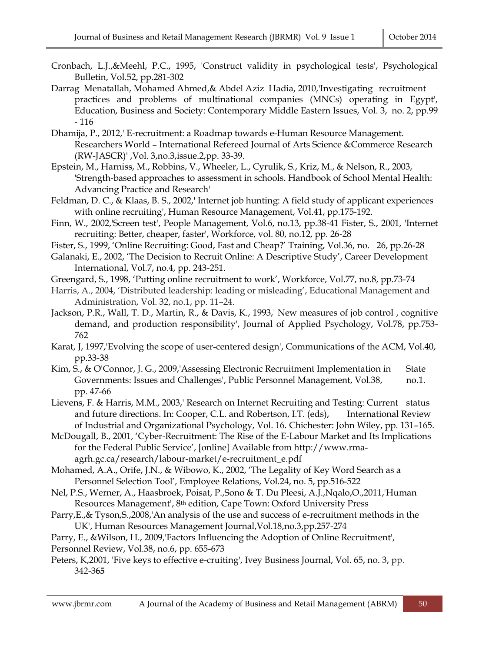- Cronbach, L.J.,&Meehl, P.C., 1995, 'Construct validity in psychological tests', Psychological Bulletin, Vol.52, pp.281-302
- Darrag Menatallah, Mohamed Ahmed,& Abdel Aziz Hadia, 2010,'Investigating recruitment practices and problems of multinational companies (MNCs) operating in Egypt', Education, Business and Society: Contemporary Middle Eastern Issues, Vol. 3, no. 2, pp.99 - 116
- Dhamija, P., 2012,' E-recruitment: a Roadmap towards e-Human Resource Management. Researchers World – International Refereed Journal of Arts Science &Commerce Research (RW-JASCR)' ,Vol. 3,no.3,issue.2,pp. 33-39.
- Epstein, M., Harniss, M., Robbins, V., Wheeler, L., Cyrulik, S., Kriz, M., & Nelson, R., 2003, 'Strength-based approaches to assessment in schools. Handbook of School Mental Health: Advancing Practice and Research'
- Feldman, D. C., & Klaas, B. S., 2002,' Internet job hunting: A field study of applicant experiences with online recruiting', Human Resource Management, Vol.41, pp.175-192.
- Finn, W., 2002,'Screen test', People Management, Vol.6, no.13, pp.38-41 Fister, S., 2001, 'Internet recruiting: Better, cheaper, faster', Workforce, vol. 80, no.12, pp. 26-28
- Fister, S., 1999, 'Online Recruiting: Good, Fast and Cheap?' Training, Vol.36, no. 26, pp.26-28
- Galanaki, E., 2002, 'The Decision to Recruit Online: A Descriptive Study', Career Development International, Vol.7, no.4, pp. 243-251.
- Greengard, S., 1998, 'Putting online recruitment to work', Workforce, Vol.77, no.8, pp.73-74
- Harris, A., 2004, 'Distributed leadership: leading or misleading', Educational Management and Administration, Vol. 32, no.1, pp. 11–24.
- Jackson, P.R., Wall, T. D., Martin, R., & Davis, K., 1993,' New measures of job control , cognitive demand, and production responsibility', Journal of Applied Psychology, Vol.78, pp.753- 762

Karat, J, 1997,'Evolving the scope of user-centered design', Communications of the ACM, Vol.40, pp.33-38

- Kim, S., & O'Connor, J. G., 2009, Assessing Electronic Recruitment Implementation in State Governments: Issues and Challenges', Public Personnel Management, Vol.38, no.1. pp. 47-66
- Lievens, F. & Harris, M.M., 2003,' Research on Internet Recruiting and Testing: Current status and future directions. In: Cooper, C.L. and Robertson, I.T. (eds), International Review of Industrial and Organizational Psychology, Vol. 16. Chichester: John Wiley, pp. 131–165.
- McDougall, B., 2001, 'Cyber-Recruitment: The Rise of the E-Labour Market and Its Implications for the Federal Public Service', [online] Available from http://www.rmaagrh.gc.ca/research/labour-market/e-recruitment\_e.pdf
- Mohamed, A.A., Orife, J.N., & Wibowo, K., 2002, 'The Legality of Key Word Search as a Personnel Selection Tool', Employee Relations, Vol.24, no. 5, pp.516-522
- Nel, P.S., Werner, A., Haasbroek, Poisat, P.,Sono & T. Du Pleesi, A.J.,Nqalo,O.,2011,'Human Resources Management', 8th edition, Cape Town: Oxford University Press
- Parry,E.,& Tyson,S.,2008,'An analysis of the use and success of e-recruitment methods in the UK', Human Resources Management Journal,Vol.18,no.3,pp.257-274
- Parry, E., &Wilson, H., 2009,'Factors Influencing the Adoption of Online Recruitment', Personnel Review, Vol.38, no.6, pp. 655-673
- Peters, K,2001, 'Five keys to effective e-cruiting', Ivey Business Journal, Vol. 65, no. 3, pp. 342-3**65**